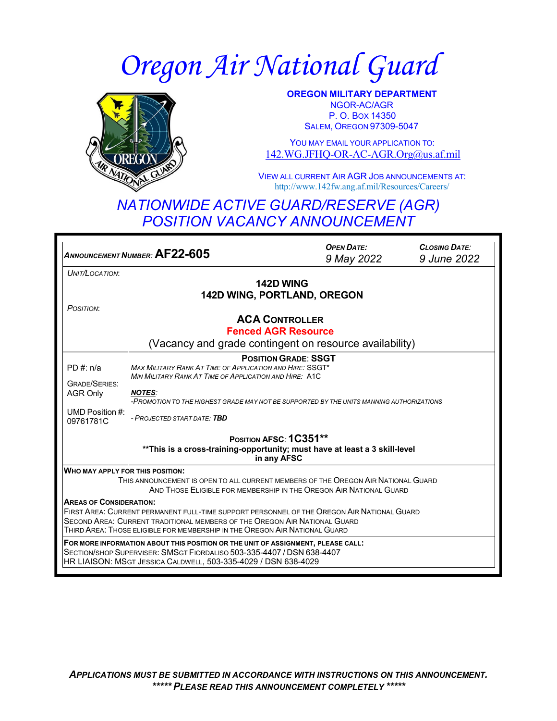# *Oregon Air National Guard*



**OREGON MILITARY DEPARTMENT** NGOR-AC/AGR P. O. BOX 14350 SALEM, OREGON 97309-5047

YOU MAY EMAIL YOUR APPLICATION TO: [142.WG.JFHQ-OR-AC-AGR.Org@us.af.mil](mailto:142.WG.JFHQ-OR-AC-AGR.Org@us.af.mil)

VIEW ALL CURRENT AIR AGR JOB ANNOUNCEMENTS AT: <http://www.142fw.ang.af.mil/Resources/Careers/>

## *NATIONWIDE ACTIVE GUARD/RESERVE (AGR) POSITION VACANCY ANNOUNCEMENT*

*<sup>A</sup>NNOUNCEMENT <sup>N</sup>UMBER:* **AF22-605** *OPEN DATE: 9 May 2022 CLOSING DATE: 9 June 2022 UNIT/LOCATION*: **142D WING 142D WING, PORTLAND, OREGON** *POSITION*: **ACA CONTROLLER Fenced AGR Resource** (Vacancy and grade contingent on resource availability) PD #: n/a GRADE/SERIES: AGR Only UMD Position #: 09761781C **POSITIONGRADE**: **SSGT**  *MAX MILITARY RANK AT TIME OF APPLICATION AND HIRE:* SSGT\* *MIN MILITARY RANK AT TIME OF APPLICATION AND HIRE:* A1C *NOTES: -PROMOTION TO THE HIGHEST GRADE MAY NOT BE SUPPORTED BY THE UNITS MANNING AUTHORIZATIONS - PROJECTED START DATE: TBD* **POSITION AFSC***:* **1C351\*\* \*\*This is a cross-training-opportunity; must have at least a 3 skill-level in any AFSC WHO MAY APPLY FOR THIS POSITION:** THIS ANNOUNCEMENT IS OPEN TO ALL CURRENT MEMBERS OF THE OREGON AIR NATIONAL GUARD AND THOSE ELIGIBLE FOR MEMBERSHIP IN THE OREGON AIR NATIONAL GUARD **AREAS OF CONSIDERATION:** FIRST AREA: CURRENT PERMANENT FULL-TIME SUPPORT PERSONNEL OF THE OREGON AIR NATIONAL GUARD SECOND AREA: CURRENT TRADITIONAL MEMBERS OF THE OREGON AIR NATIONAL GUARD THIRD AREA: THOSE ELIGIBLE FOR MEMBERSHIP IN THE OREGON AIR NATIONAL GUARD **FOR MORE INFORMATION ABOUT THIS POSITION OR THE UNIT OF ASSIGNMENT, PLEASE CALL:**  SECTION/SHOP SUPERVISER: SMSGT FIORDALISO 503-335-4407 / DSN 638-4407 HR LIAISON: MSGT JESSICA CALDWELL, 503-335-4029 / DSN 638-4029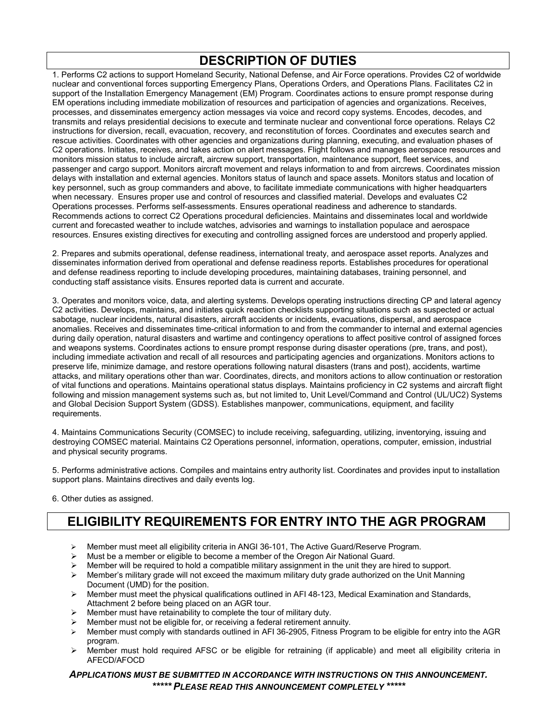## **DESCRIPTION OF DUTIES**

1. Performs C2 actions to support Homeland Security, National Defense, and Air Force operations. Provides C2 of worldwide nuclear and conventional forces supporting Emergency Plans, Operations Orders, and Operations Plans. Facilitates C2 in support of the Installation Emergency Management (EM) Program. Coordinates actions to ensure prompt response during EM operations including immediate mobilization of resources and participation of agencies and organizations. Receives, processes, and disseminates emergency action messages via voice and record copy systems. Encodes, decodes, and transmits and relays presidential decisions to execute and terminate nuclear and conventional force operations. Relays C2 instructions for diversion, recall, evacuation, recovery, and reconstitution of forces. Coordinates and executes search and rescue activities. Coordinates with other agencies and organizations during planning, executing, and evaluation phases of C2 operations. Initiates, receives, and takes action on alert messages. Flight follows and manages aerospace resources and monitors mission status to include aircraft, aircrew support, transportation, maintenance support, fleet services, and passenger and cargo support. Monitors aircraft movement and relays information to and from aircrews. Coordinates mission delays with installation and external agencies. Monitors status of launch and space assets. Monitors status and location of key personnel, such as group commanders and above, to facilitate immediate communications with higher headquarters when necessary. Ensures proper use and control of resources and classified material. Develops and evaluates C2 Operations processes. Performs self-assessments. Ensures operational readiness and adherence to standards. Recommends actions to correct C2 Operations procedural deficiencies. Maintains and disseminates local and worldwide current and forecasted weather to include watches, advisories and warnings to installation populace and aerospace resources. Ensures existing directives for executing and controlling assigned forces are understood and properly applied.

2. Prepares and submits operational, defense readiness, international treaty, and aerospace asset reports. Analyzes and disseminates information derived from operational and defense readiness reports. Establishes procedures for operational and defense readiness reporting to include developing procedures, maintaining databases, training personnel, and conducting staff assistance visits. Ensures reported data is current and accurate.

3. Operates and monitors voice, data, and alerting systems. Develops operating instructions directing CP and lateral agency C2 activities. Develops, maintains, and initiates quick reaction checklists supporting situations such as suspected or actual sabotage, nuclear incidents, natural disasters, aircraft accidents or incidents, evacuations, dispersal, and aerospace anomalies. Receives and disseminates time-critical information to and from the commander to internal and external agencies during daily operation, natural disasters and wartime and contingency operations to affect positive control of assigned forces and weapons systems. Coordinates actions to ensure prompt response during disaster operations (pre, trans, and post), including immediate activation and recall of all resources and participating agencies and organizations. Monitors actions to preserve life, minimize damage, and restore operations following natural disasters (trans and post), accidents, wartime attacks, and military operations other than war. Coordinates, directs, and monitors actions to allow continuation or restoration of vital functions and operations. Maintains operational status displays. Maintains proficiency in C2 systems and aircraft flight following and mission management systems such as, but not limited to, Unit Level/Command and Control (UL/UC2) Systems and Global Decision Support System (GDSS). Establishes manpower, communications, equipment, and facility requirements.

4. Maintains Communications Security (COMSEC) to include receiving, safeguarding, utilizing, inventorying, issuing and destroying COMSEC material. Maintains C2 Operations personnel, information, operations, computer, emission, industrial and physical security programs.

5. Performs administrative actions. Compiles and maintains entry authority list. Coordinates and provides input to installation support plans. Maintains directives and daily events log.

6. Other duties as assigned.

## **ELIGIBILITY REQUIREMENTS FOR ENTRY INTO THE AGR PROGRAM**

- Member must meet all eligibility criteria in ANGI 36-101, The Active Guard/Reserve Program.
- Must be a member or eligible to become a member of the Oregon Air National Guard.
- Member will be required to hold a compatible military assignment in the unit they are hired to support.
- $\triangleright$  Member's military grade will not exceed the maximum military duty grade authorized on the Unit Manning Document (UMD) for the position.
- $\triangleright$  Member must meet the physical qualifications outlined in AFI 48-123, Medical Examination and Standards, Attachment 2 before being placed on an AGR tour.
- $\triangleright$  Member must have retainability to complete the tour of military duty.
- Member must not be eligible for, or receiving a federal retirement annuity.
- Member must comply with standards outlined in AFI 36-2905, Fitness Program to be eligible for entry into the AGR program.
- $\triangleright$  Member must hold required AFSC or be eligible for retraining (if applicable) and meet all eligibility criteria in AFECD/AFOCD

#### *APPLICATIONS MUST BE SUBMITTED IN ACCORDANCE WITH INSTRUCTIONS ON THIS ANNOUNCEMENT. \*\*\*\*\* PLEASE READ THIS ANNOUNCEMENT COMPLETELY \*\*\*\*\**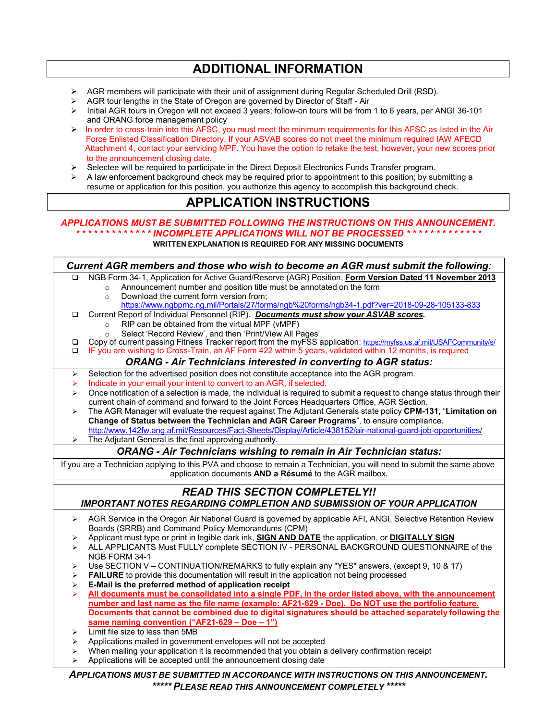## **ADDITIONAL INFORMATION**

- $\triangleright$  AGR members will participate with their unit of assignment during Regular Scheduled Drill (RSD).<br> $\triangleright$  AGR tour lengths in the State of Oregon are governed by Director of Staff Air
- $\triangleright$  AGR tour lengths in the State of Oregon are governed by Director of Staff Air<br> $\triangleright$  Initial AGR tours in Oregon will not exceed 3 vears: follow-on tours will be from
- Initial AGR tours in Oregon will not exceed 3 years; follow-on tours will be from 1 to 6 years, per ANGI 36-101 and ORANG force management policy
- $\triangleright$  In order to cross-train into this AFSC, you must meet the minimum requirements for this AFSC as listed in the Air Force Enlisted Classification Directory. If your ASVAB scores do not meet the minimum required IAW AFECD Attachment 4, contact your servicing MPF. You have the option to retake the test, however, your new scores prior to the announcement closing date.
- $\triangleright$  Selectee will be required to participate in the Direct Deposit Electronics Funds Transfer program.
- $\triangleright$  A law enforcement background check may be required prior to appointment to this position; by submitting a resume or application for this position, you authorize this agency to accomplish this background check.

## **APPLICATION INSTRUCTIONS**

### *APPLICATIONS MUST BE SUBMITTED FOLLOWING THE INSTRUCTIONS ON THIS ANNOUNCEMENT. \* \* \* \* \* \* \* \* \* \* \* \* \* INCOMPLETE APPLICATIONS WILL NOT BE PROCESSED \* \* \* \* \* \* \* \* \* \* \* \* \**

**WRITTEN EXPLANATION IS REQUIRED FOR ANY MISSING DOCUMENTS**

| Current AGR members and those who wish to become an AGR must submit the following:                                     |                                                                                                                                                                                                                                  |
|------------------------------------------------------------------------------------------------------------------------|----------------------------------------------------------------------------------------------------------------------------------------------------------------------------------------------------------------------------------|
| □                                                                                                                      | NGB Form 34-1, Application for Active Guard/Reserve (AGR) Position, Form Version Dated 11 November 2013                                                                                                                          |
|                                                                                                                        | Announcement number and position title must be annotated on the form<br>$\Omega$                                                                                                                                                 |
|                                                                                                                        | Download the current form version from;<br>$\Omega$                                                                                                                                                                              |
|                                                                                                                        | https://www.ngbpmc.ng.mil/Portals/27/forms/ngb%20forms/ngb34-1.pdf?ver=2018-09-28-105133-833                                                                                                                                     |
| □                                                                                                                      | Current Report of Individual Personnel (RIP). Documents must show your ASVAB scores.                                                                                                                                             |
|                                                                                                                        | RIP can be obtained from the virtual MPF (vMPF)<br>$\circ$                                                                                                                                                                       |
|                                                                                                                        | Select 'Record Review', and then 'Print/View All Pages'<br>$\circ$                                                                                                                                                               |
| $\Box$<br>$\Box$                                                                                                       | Copy of current passing Fitness Tracker report from the myFSS application: https://myfss.us.af.mil/USAFCommunity/s/<br>IF you are wishing to Cross-Train, an AF Form 422 within 5 years, validated within 12 months, is required |
| <b>ORANG - Air Technicians interested in converting to AGR status:</b>                                                 |                                                                                                                                                                                                                                  |
| ➤                                                                                                                      | Selection for the advertised position does not constitute acceptance into the AGR program.                                                                                                                                       |
| ⋗                                                                                                                      | Indicate in your email your intent to convert to an AGR, if selected.                                                                                                                                                            |
| ⋗                                                                                                                      | Once notification of a selection is made, the individual is required to submit a request to change status through their                                                                                                          |
|                                                                                                                        | current chain of command and forward to the Joint Forces Headquarters Office, AGR Section.                                                                                                                                       |
| ↘                                                                                                                      | The AGR Manager will evaluate the request against The Adjutant Generals state policy CPM-131, "Limitation on                                                                                                                     |
|                                                                                                                        | Change of Status between the Technician and AGR Career Programs", to ensure compliance.                                                                                                                                          |
|                                                                                                                        | http://www.142fw.ang.af.mil/Resources/Fact-Sheets/Display/Article/438152/air-national-guard-job-opportunities/                                                                                                                   |
| ➤                                                                                                                      | The Adjutant General is the final approving authority.                                                                                                                                                                           |
| <b>ORANG - Air Technicians wishing to remain in Air Technician status:</b>                                             |                                                                                                                                                                                                                                  |
| If you are a Technician applying to this PVA and choose to remain a Technician, you will need to submit the same above |                                                                                                                                                                                                                                  |
|                                                                                                                        | application documents AND a Résumé to the AGR mailbox.                                                                                                                                                                           |
| <b>READ THIS SECTION COMPLETELY!!</b>                                                                                  |                                                                                                                                                                                                                                  |
| IMPORTANT NOTES REGARDING COMPLETION AND SUBMISSION OF YOUR APPLICATION                                                |                                                                                                                                                                                                                                  |
| ➤                                                                                                                      | AGR Service in the Oregon Air National Guard is governed by applicable AFI, ANGI, Selective Retention Review                                                                                                                     |
|                                                                                                                        | Boards (SRRB) and Command Policy Memorandums (CPM)                                                                                                                                                                               |
| ⋗                                                                                                                      | Applicant must type or print in legible dark ink, <b>SIGN AND DATE</b> the application, or <b>DIGITALLY SIGN</b>                                                                                                                 |
| ⋗                                                                                                                      | ALL APPLICANTS Must FULLY complete SECTION IV - PERSONAL BACKGROUND QUESTIONNAIRE of the                                                                                                                                         |
|                                                                                                                        | NGB FORM 34-1                                                                                                                                                                                                                    |
| ⋗                                                                                                                      | Use SECTION V - CONTINUATION/REMARKS to fully explain any "YES" answers, (except 9, 10 & 17)                                                                                                                                     |
| ⋗                                                                                                                      | <b>FAILURE</b> to provide this documentation will result in the application not being processed                                                                                                                                  |
| ➤                                                                                                                      | E-Mail is the preferred method of application receipt                                                                                                                                                                            |
| ⋗                                                                                                                      | All documents must be consolidated into a single PDF, in the order listed above, with the announcement<br>number and last name as the file name (example: AF21-629 - Doe). Do NOT use the portfolio feature.                     |
|                                                                                                                        | Documents that cannot be combined due to digital signatures should be attached separately following the                                                                                                                          |
|                                                                                                                        | same naming convention ("AF21-629 - Doe - 1")                                                                                                                                                                                    |
|                                                                                                                        | Limit file size to less than 5MB                                                                                                                                                                                                 |
| ⋗<br>⋗                                                                                                                 | Applications mailed in government envelopes will not be accepted                                                                                                                                                                 |
| ⋗                                                                                                                      | When mailing your application it is recommended that you obtain a delivery confirmation receipt                                                                                                                                  |
| ⋗                                                                                                                      | Applications will be accepted until the announcement closing date                                                                                                                                                                |
|                                                                                                                        |                                                                                                                                                                                                                                  |
| APPLICATIONS MUST BE SUBMITTED IN ACCORDANCE WITH INSTRUCTIONS ON THIS ANNOUNCEMENT.                                   |                                                                                                                                                                                                                                  |
| ***** PLEASE READ THIS ANNOUNCEMENT COMPLETELY *****                                                                   |                                                                                                                                                                                                                                  |